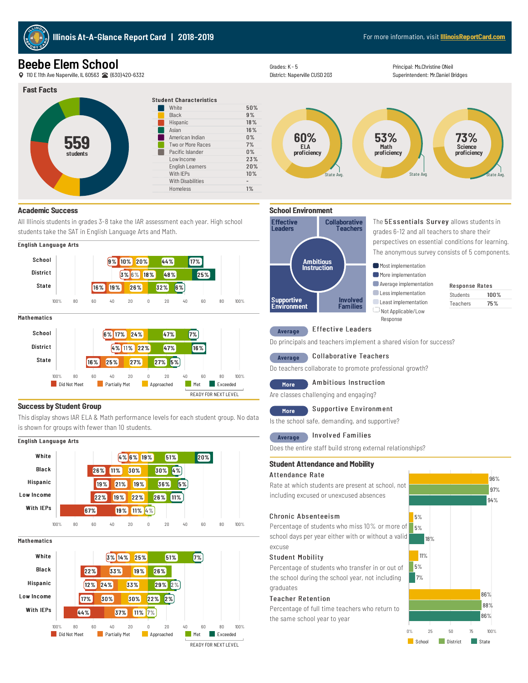

# Beebe Elem School

110E 11thAve Naperville, IL60563 (630) 420-6332





#### Student Characteristics 5 0% 9 % 18 % 16 % 0% 7% n% 23% 2 0% 10% - 1% White 5<br>Black 9 Mispanic 18 %<br>Asian 16 %Asian 16 %<br>American Indian 16 % Two or More Races<br>Pacific Islander Grades: K - 5<br>
District: Napy<br>
11<br>
11<br>
Elispanic<br>
Black<br>
American Indian<br>
Asian<br>
American Indian<br>
Two or More Races<br>
Pacific Islander<br>
Low Income<br>
English Learners<br>
With IEPs 20%<br>
With Disabilities<br>
Homeless 1%<br>
Homeless<br>



Principal: Ms.Christine ONeil Superintendent: Mr.Daniel Bridges



### **Academic Success**

All Illinois students in grades 3-8 take the IAR assessment each year. High school students take the SAT in English Language Arts and Math.





# **Success by Student Group**

This display shows IAR ELA & Math performance levels for each student group. No data is shown for groups with fewer than 10 students.

#### I English Language Arts



Mathematics





# Average Effective Leaders

Do principals and teachers implement a shared vision for success?

# Average Collaborative Teachers

Do teachers collaborate to promote professional growth?

# More Ambitious Instruction

Are classes challenging and engaging?

# More Supportive Environment

Is the school safe, demanding, and supportive?

#### Involved Families **Average**

Does the entire staff build strong external relationships?

### **Student Attendance and Mobility Student Attendanceand Mobility**

#### A ttendance R ate ttendance R ate

Rate at which students are present at school, not including excused or unexcused absences

#### Chronic Absenteeism

Percentage of students who miss 10% or more of school days per year either with or without a valid excuse

### Student Mobility

Percentage of students who transfer in or out of the school during the school year, not includinggraduates

#### **Teacher Retention**

Percentage of full time teachers who return to the same school year to year